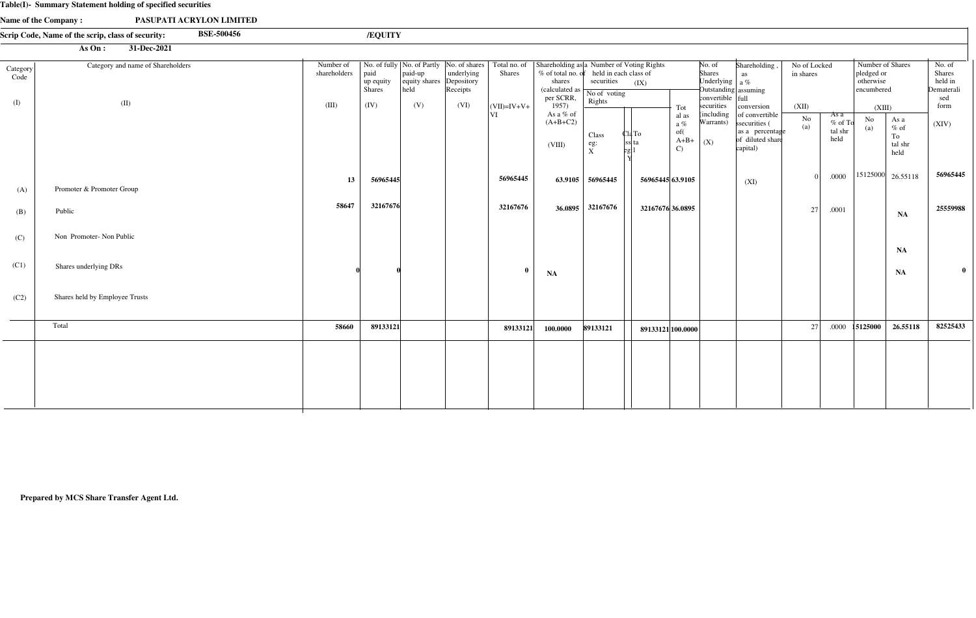#### **Table(I)- Summary Statement holding of specified securities**

|                  | <b>Lable(1)- Summary Statement holding of specified securities</b>     |                           |                                    |                                      |                                      |                       |                                                                                                                                                    |                                                                                 |                   |                                                         |                                                                                                                        |                                                                                                  |                           |                                      |                                                           |                                                     |                                                         |
|------------------|------------------------------------------------------------------------|---------------------------|------------------------------------|--------------------------------------|--------------------------------------|-----------------------|----------------------------------------------------------------------------------------------------------------------------------------------------|---------------------------------------------------------------------------------|-------------------|---------------------------------------------------------|------------------------------------------------------------------------------------------------------------------------|--------------------------------------------------------------------------------------------------|---------------------------|--------------------------------------|-----------------------------------------------------------|-----------------------------------------------------|---------------------------------------------------------|
|                  | Name of the Company:<br>PASUPATI ACRYLON LIMITED                       |                           |                                    |                                      |                                      |                       |                                                                                                                                                    |                                                                                 |                   |                                                         |                                                                                                                        |                                                                                                  |                           |                                      |                                                           |                                                     |                                                         |
|                  | <b>BSE-500456</b><br>Scrip Code, Name of the scrip, class of security: |                           | /EQUITY                            |                                      |                                      |                       |                                                                                                                                                    |                                                                                 |                   |                                                         |                                                                                                                        |                                                                                                  |                           |                                      |                                                           |                                                     |                                                         |
|                  | $\overline{31\text{-}Dec\text{-}2021}$<br>As On:                       |                           |                                    |                                      |                                      |                       |                                                                                                                                                    |                                                                                 |                   |                                                         |                                                                                                                        |                                                                                                  |                           |                                      |                                                           |                                                     |                                                         |
| Category<br>Code | Category and name of Shareholders                                      | Number of<br>shareholders | paid<br>up equity<br><b>Shares</b> | $ $ paid-up<br>equity shares<br>heid | underlying<br>Depository<br>Receipts | <b>Shares</b>         | No. of fully   No. of Partly   No. of shares   Total no. of   Shareholding as   a Number of Voting Rights<br>shares<br>(calculated as<br>per SCRR, | % of total no. of held in each class of<br>securities<br>No of voting<br>Rights | (IX)              |                                                         | No. of<br>Shares<br>Underlying $\int a \%$<br>$\frac{1}{2}$ Outstanding assuming<br>$\text{convertible}$ $\text{full}$ | Shareholding<br>as                                                                               | No of Locked<br>in shares |                                      | Number of Shares<br>pledged or<br>otherwise<br>encumbered |                                                     | No. of<br><b>Shares</b><br>held in<br>Dematerali<br>sed |
| (I)              | (II)                                                                   | (III)                     | (IV)                               | (V)                                  | (VI)                                 | $ $ (VII)=IV+V+<br>VI | 1957)<br>As a % of<br>$(A+B+C2)$<br>(VIII)                                                                                                         | Class<br>eg:<br>$\frac{1}{X}$                                                   | Cla To<br>ss  ta  | Tot<br>al as<br>a $\%$<br>of(<br>$A+B+$<br>$\mathbf{C}$ | securities<br>(including<br>Warrants)<br>$\mid$ (X)                                                                    | conversion<br>of convertible<br>ssecurities (<br>as a percentage<br>of diluted share<br>capital) | (XII)<br>$\frac{No}{(a)}$ | As a<br>$%$ of To<br>tal shr<br>held | (XIII)<br>No<br>(a)                                       | As a<br>$\%$ of<br>To<br>tal shr<br>held            | form<br>(XIV)                                           |
| (A)              | Promoter & Promoter Group                                              | 13                        | 56965445                           |                                      |                                      | 56965445              |                                                                                                                                                    | 63.9105 56965445                                                                | 56965445 63.9105  |                                                         |                                                                                                                        | (XI)                                                                                             | $\Omega$                  | .0000                                |                                                           | $\begin{vmatrix} 15125000 & 26.55118 \end{vmatrix}$ | 56965445                                                |
| (B)              | Public                                                                 | 58647                     | 32167676                           |                                      |                                      | 32167676              |                                                                                                                                                    | 36.0895 32167676                                                                | 32167676 36.0895  |                                                         |                                                                                                                        |                                                                                                  | 27                        | .0001                                |                                                           | NA                                                  | 25559988                                                |
| (C)              | Non Promoter-Non Public                                                |                           |                                    |                                      |                                      |                       |                                                                                                                                                    |                                                                                 |                   |                                                         |                                                                                                                        |                                                                                                  |                           |                                      |                                                           | NA                                                  |                                                         |
| (C1)             | Shares underlying DRs                                                  |                           |                                    |                                      |                                      | $\mathbf{0}$          | <b>NA</b>                                                                                                                                          |                                                                                 |                   |                                                         |                                                                                                                        |                                                                                                  |                           |                                      |                                                           | NA                                                  | $\bf{0}$                                                |
| (C2)             | Shares held by Employee Trusts                                         |                           |                                    |                                      |                                      |                       |                                                                                                                                                    |                                                                                 |                   |                                                         |                                                                                                                        |                                                                                                  |                           |                                      |                                                           |                                                     |                                                         |
|                  | Total                                                                  | 58660                     | 89133121                           |                                      |                                      | 89133121              | 100.0000                                                                                                                                           | 89133121                                                                        | 89133121 100.0000 |                                                         |                                                                                                                        |                                                                                                  | 27                        | .0000                                | 15125000                                                  | 26.55118                                            | 82525433                                                |
|                  |                                                                        |                           |                                    |                                      |                                      |                       |                                                                                                                                                    |                                                                                 |                   |                                                         |                                                                                                                        |                                                                                                  |                           |                                      |                                                           |                                                     |                                                         |

**Prepared by MCS Share Transfer Agent Ltd.**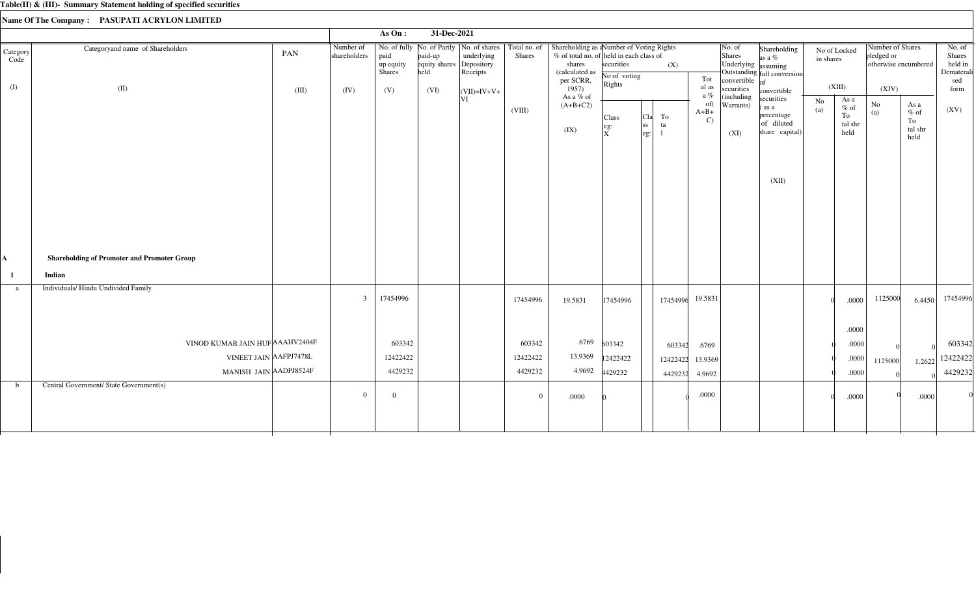|                  |                                                    |       |                           | As $On:$                           | 31-Dec-2021                                 |                                                                        |                               |                                                                                                                 |                                |                                               |          |                               |                                         |                                                                  |           |                                         |                                |                                          |                                           |
|------------------|----------------------------------------------------|-------|---------------------------|------------------------------------|---------------------------------------------|------------------------------------------------------------------------|-------------------------------|-----------------------------------------------------------------------------------------------------------------|--------------------------------|-----------------------------------------------|----------|-------------------------------|-----------------------------------------|------------------------------------------------------------------|-----------|-----------------------------------------|--------------------------------|------------------------------------------|-------------------------------------------|
| Category<br>Code | Categoryand name of Shareholders                   | PAN   | Number of<br>shareholders | paid<br>up equity<br><b>Shares</b> | paid-up<br>equity shares Depository<br>held | No. of fully   No. of Partly   No. of shares<br>underlying<br>Receipts | Total no. of<br><b>Shares</b> | Shareholding as aNumber of Voting Rights<br>% of total no. of held in each class of<br>shares<br>(calculated as | securities<br>No of voting     |                                               | (X)      | Tot                           | No. of<br>Shares<br>Underlying assuming | Shareholding<br>as a %<br>Outstanding full conversion            | in shares | No of Locked                            | Number of Shares<br>pledged or | otherwise encumbered                     | No. of<br>Shares<br>held in<br>Dematerali |
| (I)              | (II)                                               | (III) | (IV)                      | (V)                                | (VI)                                        | $\vert$ (VII)=IV+V+                                                    |                               | per SCRR,<br>1957)                                                                                              | Rights                         |                                               |          | al as<br>a %                  | convertible $of$<br>securities          | convertible                                                      |           | (XIII)                                  | (XIV)                          |                                          | sed<br>form                               |
|                  |                                                    |       |                           |                                    |                                             | VI                                                                     | (VIII)                        | As a % of<br>$(A+B+C2)$<br>(IX)                                                                                 | Class<br>eg:<br>$\overline{x}$ | To<br>  <sub>C1a</sub>  <br> ss <br>ta<br>eg: |          | of(<br>$A+B+$<br>$\mathbf{C}$ | (including<br>Warrants)<br>(XI)         | securities<br>as a<br>percentage<br>of diluted<br>share capital) | No<br>(a) | As a<br>$%$ of<br>To<br>tal shr<br>held | $\rm No$<br>(a)                | As a<br>$\%$ of<br>To<br>tal shr<br>held | (XV)                                      |
|                  |                                                    |       |                           |                                    |                                             |                                                                        |                               |                                                                                                                 |                                |                                               |          |                               |                                         | (XII)                                                            |           |                                         |                                |                                          |                                           |
| A                | <b>Shareholding of Promoter and Promoter Group</b> |       |                           |                                    |                                             |                                                                        |                               |                                                                                                                 |                                |                                               |          |                               |                                         |                                                                  |           |                                         |                                |                                          |                                           |
| -1               | Indian                                             |       |                           |                                    |                                             |                                                                        |                               |                                                                                                                 |                                |                                               |          |                               |                                         |                                                                  |           |                                         |                                |                                          |                                           |
| a                | Individuals/Hindu Undivided Family                 |       | $\overline{3}$            | 17454996                           |                                             |                                                                        | 17454996                      | 19.5831                                                                                                         | 17454996                       |                                               | 17454996 | 19.5831                       |                                         |                                                                  |           | .0000                                   | 1125000                        | 6.4450                                   | 17454996                                  |
|                  |                                                    |       |                           |                                    |                                             |                                                                        |                               |                                                                                                                 |                                |                                               |          |                               |                                         |                                                                  |           | .0000                                   |                                |                                          |                                           |
|                  | VINOD KUMAR JAIN HUF AAAHV2404F                    |       |                           | 603342                             |                                             |                                                                        | 603342                        | .6769                                                                                                           | 603342                         |                                               | 603342   | .6769                         |                                         |                                                                  |           | .0000                                   |                                |                                          | 603342                                    |
|                  | VINEET JAIN AAFPJ7478L                             |       |                           | 12422422                           |                                             |                                                                        | 12422422                      | 13.9369                                                                                                         | 12422422                       |                                               | 12422422 | 13.9369                       |                                         |                                                                  |           | .0000                                   | 1125000                        | 1.2622                                   | 12422422                                  |
|                  | MANISH JAIN AADPJ8524F                             |       |                           | 4429232                            |                                             |                                                                        | 4429232                       | 4.9692                                                                                                          | 4429232                        |                                               | 4429232  | 4.9692                        |                                         |                                                                  |           | .0000                                   |                                |                                          | 4429232                                   |
| $\mathbf b$      | Central Government/ State Government(s)            |       | $\overline{0}$            | $\overline{0}$                     |                                             |                                                                        | $\overline{0}$                | .0000                                                                                                           |                                |                                               |          | $.0000$                       |                                         |                                                                  |           | .0000                                   |                                | .0000                                    |                                           |
|                  |                                                    |       |                           |                                    |                                             |                                                                        |                               |                                                                                                                 |                                |                                               |          |                               |                                         |                                                                  |           |                                         |                                |                                          |                                           |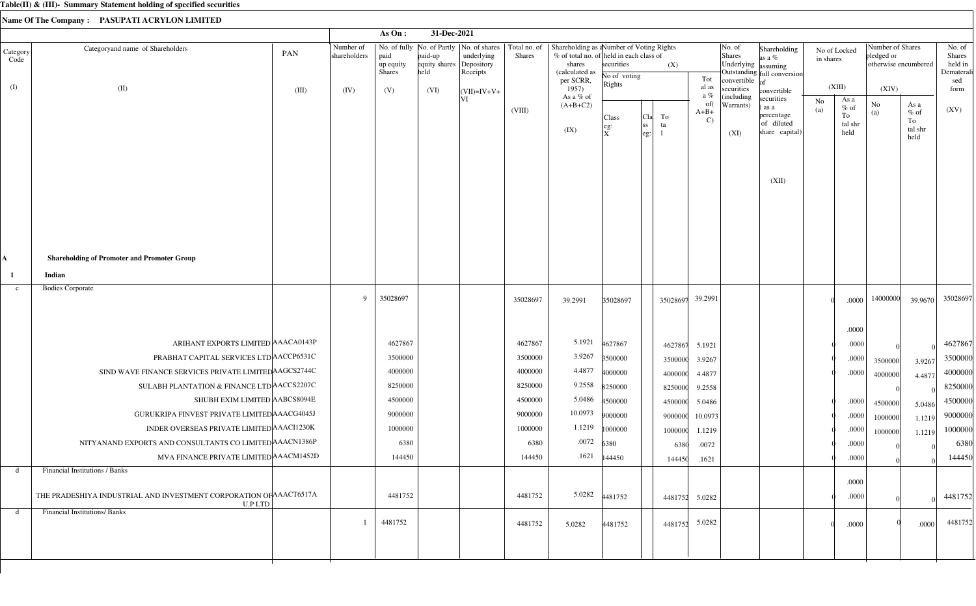|                  |                                                                                      |       |                           | As On:                             | 31-Dec-2021                                 |                                                                        |                               |                                                                                                                 |                             |                                 |          |                                      |                                         |                                                                  |                           |                                         |                                                        |                                          |                                           |
|------------------|--------------------------------------------------------------------------------------|-------|---------------------------|------------------------------------|---------------------------------------------|------------------------------------------------------------------------|-------------------------------|-----------------------------------------------------------------------------------------------------------------|-----------------------------|---------------------------------|----------|--------------------------------------|-----------------------------------------|------------------------------------------------------------------|---------------------------|-----------------------------------------|--------------------------------------------------------|------------------------------------------|-------------------------------------------|
| Category<br>Code | Categoryand name of Shareholders                                                     | PAN   | Number of<br>shareholders | paid<br>up equity<br><b>Shares</b> | paid-up<br>equity shares Depository<br>held | No. of fully   No. of Partly   No. of shares<br>underlying<br>Receipts | Total no. of<br><b>Shares</b> | Shareholding as aNumber of Voting Rights<br>% of total no. of held in each class of<br>shares<br>(calculated as | securities<br>No of voting  |                                 | (X)      | Tot                                  | No. of<br>Shares<br>Underlying assuming | Shareholding<br>as a $%$<br>Outstanding full conversion          | No of Locked<br>in shares |                                         | Number of Shares<br>pledged or<br>otherwise encumbered |                                          | No. of<br>Shares<br>held in<br>Dematerali |
| (I)              | (II)                                                                                 | (III) | (IV)                      | (V)                                | (VI)                                        | $\vert$ (VII)=IV+V+                                                    |                               | per SCRR,<br>1957)                                                                                              | Rights                      |                                 |          | al as                                | convertible $ _{of}$<br>securities      | convertible                                                      |                           | (XIII)                                  | (XIV)                                                  |                                          | sed<br>form                               |
|                  |                                                                                      |       |                           |                                    |                                             | VI                                                                     | (VIII)                        | As a % of<br>$(A+B+C2)$<br>(IX)                                                                                 | Class<br>eg:<br>$\mathbf x$ | To<br> C1a <br> ss<br>ta<br>eg: |          | a %<br>of(<br>$A+B+$<br>$\mathbf{C}$ | (including<br>Warrants)<br>(XI)         | securities<br>as a<br>percentage<br>of diluted<br>share capital) | No<br>(a)                 | As a<br>$%$ of<br>To<br>tal shr<br>held | No<br>(a)                                              | As a<br>$\%$ of<br>To<br>tal shr<br>held | (XV)                                      |
|                  |                                                                                      |       |                           |                                    |                                             |                                                                        |                               |                                                                                                                 |                             |                                 |          |                                      |                                         | (XII)                                                            |                           |                                         |                                                        |                                          |                                           |
| A                | <b>Shareholding of Promoter and Promoter Group</b>                                   |       |                           |                                    |                                             |                                                                        |                               |                                                                                                                 |                             |                                 |          |                                      |                                         |                                                                  |                           |                                         |                                                        |                                          |                                           |
| -1               | Indian                                                                               |       |                           |                                    |                                             |                                                                        |                               |                                                                                                                 |                             |                                 |          |                                      |                                         |                                                                  |                           |                                         |                                                        |                                          |                                           |
| $\mathbf{c}$     | <b>Bodies Corporate</b>                                                              |       | 9                         | 35028697                           |                                             |                                                                        | 35028697                      | 39.2991                                                                                                         | 35028697                    |                                 | 35028697 | 39.2991                              |                                         |                                                                  |                           | .0000                                   | 14000000                                               | 39.9670                                  | 35028697                                  |
|                  |                                                                                      |       |                           |                                    |                                             |                                                                        |                               |                                                                                                                 |                             |                                 |          |                                      |                                         |                                                                  |                           | .0000                                   |                                                        |                                          |                                           |
|                  | ARIHANT EXPORTS LIMITED AAACA0143P                                                   |       |                           | 4627867                            |                                             |                                                                        | 4627867                       | 5.1921                                                                                                          | 4627867                     |                                 | 4627867  | 5.1921                               |                                         |                                                                  |                           | .0000                                   |                                                        |                                          | 4627867                                   |
|                  | PRABHAT CAPITAL SERVICES LTD ACCP6531C                                               |       |                           | 3500000                            |                                             |                                                                        | 3500000                       | 3.9267                                                                                                          | 3500000                     |                                 | 3500000  | 3.9267                               |                                         |                                                                  |                           | .0000                                   | 3500000                                                | 3.9267                                   | 3500000                                   |
|                  | SIND WAVE FINANCE SERVICES PRIVATE LIMITED AAGCS2744C                                |       |                           | 4000000                            |                                             |                                                                        | 4000000                       | 4.4877                                                                                                          | 4000000                     |                                 | 4000000  | 4.4877                               |                                         |                                                                  |                           | .0000                                   | 4000000                                                | 4.4877                                   | 4000000                                   |
|                  | SULABH PLANTATION & FINANCE LTD ACCS2207C                                            |       |                           | 8250000                            |                                             |                                                                        | 8250000                       | 9.2558                                                                                                          | 8250000                     |                                 | 8250000  | 9.2558                               |                                         |                                                                  |                           |                                         |                                                        |                                          | 8250000                                   |
|                  | SHUBH EXIM LIMITED AABCS8094E                                                        |       |                           | 4500000                            |                                             |                                                                        | 4500000                       | 5.0486                                                                                                          | 4500000                     |                                 | 4500000  | 5.0486                               |                                         |                                                                  |                           | .0000                                   | 4500000                                                | 5.0486                                   | 4500000                                   |
|                  | GURUKRIPA FINVEST PRIVATE LIMITED AAACG4045J                                         |       |                           | 9000000                            |                                             |                                                                        | 9000000                       | 10.0973                                                                                                         | 9000000                     |                                 | 9000000  | 10.0973                              |                                         |                                                                  |                           | .0000                                   | 1000000                                                | 1.1219                                   | 9000000                                   |
|                  | INDER OVERSEAS PRIVATE LIMITED AAACI1230K                                            |       |                           | 1000000                            |                                             |                                                                        | 1000000                       | 1.1219                                                                                                          | 1000000                     |                                 | 1000000  | 1.1219                               |                                         |                                                                  |                           | .0000                                   | 1000000                                                | 1.1219                                   | 1000000                                   |
|                  | NITYANAND EXPORTS AND CONSULTANTS CO LIMITED AAACN1386P                              |       |                           | 6380                               |                                             |                                                                        | 6380                          | .0072                                                                                                           | 6380                        |                                 | 6380     | .0072                                |                                         |                                                                  |                           | .0000                                   |                                                        |                                          | 6380                                      |
|                  | MVA FINANCE PRIVATE LIMITED AAACM1452D                                               |       |                           | 144450                             |                                             |                                                                        | 144450                        | .1621                                                                                                           | 144450                      |                                 | 144450   | .1621                                |                                         |                                                                  |                           | .0000                                   |                                                        |                                          | 144450                                    |
| d                | <b>Financial Institutions / Banks</b>                                                |       |                           |                                    |                                             |                                                                        |                               |                                                                                                                 |                             |                                 |          |                                      |                                         |                                                                  |                           |                                         |                                                        |                                          |                                           |
|                  | THE PRADESHIYA INDUSTRIAL AND INVESTMENT CORPORATION OF AAACT6517A<br><b>U.P LTD</b> |       |                           | 4481752                            |                                             |                                                                        | 4481752                       | 5.0282                                                                                                          | 4481752                     |                                 |          | 4481752 5.0282                       |                                         |                                                                  |                           | .0000<br>.0000                          |                                                        |                                          | 4481752                                   |
| d                | <b>Financial Institutions/ Banks</b>                                                 |       |                           | 4481752                            |                                             |                                                                        | 4481752                       | 5.0282                                                                                                          | 4481752                     |                                 | 4481752  | 5.0282                               |                                         |                                                                  |                           | .0000                                   |                                                        | .0000                                    | 4481752                                   |
|                  |                                                                                      |       |                           |                                    |                                             |                                                                        |                               |                                                                                                                 |                             |                                 |          |                                      |                                         |                                                                  |                           |                                         |                                                        |                                          |                                           |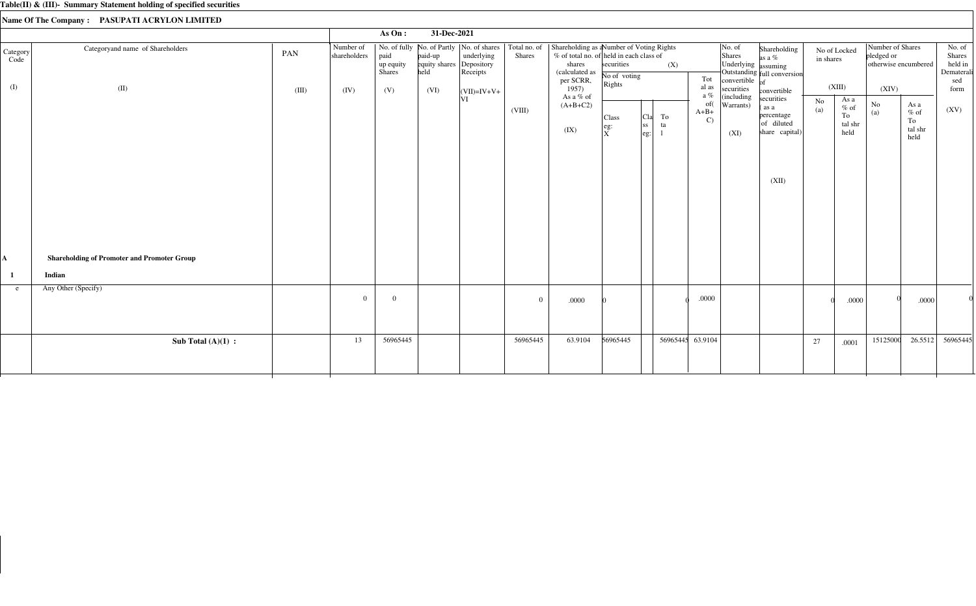|                         |                                                    |              |                                   | As On:                             | 31-Dec-2021                              |                                                       |          |                                                                                                                                                                                                    |                                                                                |                                |                                         |                                                                                                     |                                                                            |           |                                         |                                                                 |                                          |                                                          |
|-------------------------|----------------------------------------------------|--------------|-----------------------------------|------------------------------------|------------------------------------------|-------------------------------------------------------|----------|----------------------------------------------------------------------------------------------------------------------------------------------------------------------------------------------------|--------------------------------------------------------------------------------|--------------------------------|-----------------------------------------|-----------------------------------------------------------------------------------------------------|----------------------------------------------------------------------------|-----------|-----------------------------------------|-----------------------------------------------------------------|------------------------------------------|----------------------------------------------------------|
| Category<br>Code<br>(I) | Categoryand name of Shareholders<br>(II)           | PAN<br>(III) | Number of<br>shareholders<br>(IV) | paid<br>up equity<br>Shares<br>(V) | paid-up<br>equity shares<br>held<br>(VI) | underlying<br>Depository<br>Receipts<br>$(VII)=IV+V+$ | Shares   | No. of fully No. of Partly   No. of shares   Total no. of   Shareholding as a Number of Voting Rights<br>% of total no. of held in each class of<br>shares<br>(calculated as<br>per SCRR,<br>1957) | securities<br>No of voting<br>Rights                                           | (X)                            | Tot<br>al as                            | $\vert$ No. of<br>Shares<br>Underlying assuming<br>convertible $\overline{\text{of}}$<br>securities | Shareholding<br>as a %<br>Outstanding full conversion<br>convertible       | in shares | No of Locked<br>(XIII)                  | Number of Shares<br>pledged or<br>otherwise encumbered<br>(XIV) |                                          | No. of<br>Shares<br>held in<br>Dematerali<br>sed<br>form |
|                         |                                                    |              |                                   |                                    |                                          | ΙVΙ                                                   | (VIII)   | As a % of<br>$(A+B+C2)$<br>(IX)                                                                                                                                                                    | Class<br>$\left  \begin{smallmatrix} \text{eg:} \ X \end{smallmatrix} \right $ | To<br>Cla<br> ss <br>ta<br>eg: | a $\%$<br>of(<br>$A+B+$<br>$\mathbf{C}$ | (including<br>Warrants)<br>(XI)                                                                     | securities<br>(as a<br>percentage<br>of diluted<br>share capital)<br>(XII) | No<br>(a) | As a<br>$%$ of<br>To<br>tal shr<br>held | $\rm No$<br>(a)                                                 | As a<br>$\%$ of<br>To<br>tal shr<br>held | (XV)                                                     |
| A                       | <b>Shareholding of Promoter and Promoter Group</b> |              |                                   |                                    |                                          |                                                       |          |                                                                                                                                                                                                    |                                                                                |                                |                                         |                                                                                                     |                                                                            |           |                                         |                                                                 |                                          |                                                          |
|                         | Indian                                             |              |                                   |                                    |                                          |                                                       |          |                                                                                                                                                                                                    |                                                                                |                                |                                         |                                                                                                     |                                                                            |           |                                         |                                                                 |                                          |                                                          |
| e.                      | Any Other (Specify)                                |              | $\Omega$                          | $\theta$                           |                                          |                                                       | $\Omega$ | .0000                                                                                                                                                                                              |                                                                                |                                | $.0000$                                 |                                                                                                     |                                                                            |           | .0000                                   |                                                                 | .0000                                    |                                                          |
|                         | Sub Total $(A)(1)$ :                               |              | 13                                | 56965445                           |                                          |                                                       | 56965445 | 63.9104                                                                                                                                                                                            | 56965445                                                                       |                                | 56965445 63.9104                        |                                                                                                     |                                                                            | 27        | .0001                                   | 15125000                                                        | 26.5512                                  | 56965445                                                 |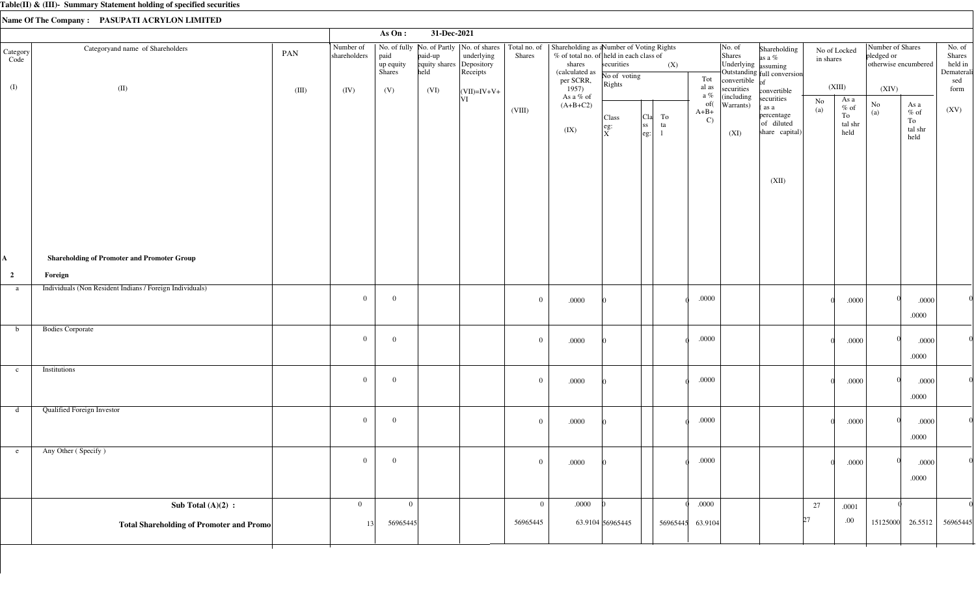|                         |                                                          |       |                           | As $On:$                           | 31-Dec-2021                                 |                                                                        |                               |                                                                                                                               |                                      |                                                                  |                               |                                                             |                                                              |                           |                                  |                                |                                                                       |                                                  |
|-------------------------|----------------------------------------------------------|-------|---------------------------|------------------------------------|---------------------------------------------|------------------------------------------------------------------------|-------------------------------|-------------------------------------------------------------------------------------------------------------------------------|--------------------------------------|------------------------------------------------------------------|-------------------------------|-------------------------------------------------------------|--------------------------------------------------------------|---------------------------|----------------------------------|--------------------------------|-----------------------------------------------------------------------|--------------------------------------------------|
| Category<br>Code        | Categoryand name of Shareholders                         | PAN   | Number of<br>shareholders | paid<br>up equity<br><b>Shares</b> | paid-up<br>equity shares Depository<br>held | No. of fully   No. of Partly   No. of shares<br>underlying<br>Receipts | Total no. of<br><b>Shares</b> | Shareholding as a Number of Voting Rights<br>% of total no. of held in each class of<br>shares<br>(calculated as<br>per SCRR, | securities<br>No of voting<br>Rights | (X)                                                              | Tot                           | No. of<br>Shares<br>Underlying assuming<br>convertible $of$ | Shareholding<br>as a %<br>Outstanding full conversion        | No of Locked<br>in shares |                                  | Number of Shares<br>pledged or | otherwise encumbered                                                  | No. of<br>Shares<br>held in<br>Dematerali<br>sed |
| (I)                     | (II)                                                     | (III) | (IV)                      | (V)                                | (VI)                                        | $\vert$ (VII)=IV+V+<br> VI                                             |                               | 1957)<br>As a % of                                                                                                            |                                      |                                                                  | al as<br>a $\%$               | securities<br>(including                                    | convertible<br>securities                                    |                           | (XIII)<br>As a                   | (XIV)                          |                                                                       | form                                             |
|                         |                                                          |       |                           |                                    |                                             |                                                                        | (VIII)                        | $(A+B+C2)$<br>(IX)                                                                                                            | Class<br>eg:<br>$\overline{X}$       | To<br> C1a <br><sub>ss</sub><br>ta<br>$\left  \text{eg} \right $ | of(<br>$A+B+$<br>$\mathbf{C}$ | Warrants)<br>(XI)                                           | (as a<br>percentage<br>of diluted<br>share capital)<br>(XII) | No<br>(a)                 | $\%$ of<br>To<br>tal shr<br>held | $\rm No$<br>(a)                | As a<br>$\%$ of<br>To<br>$\ensuremath{\text{tal}}\xspace$ shr<br>held | (XV)                                             |
| A                       | <b>Shareholding of Promoter and Promoter Group</b>       |       |                           |                                    |                                             |                                                                        |                               |                                                                                                                               |                                      |                                                                  |                               |                                                             |                                                              |                           |                                  |                                |                                                                       |                                                  |
| $\overline{\mathbf{c}}$ | Foreign                                                  |       |                           |                                    |                                             |                                                                        |                               |                                                                                                                               |                                      |                                                                  |                               |                                                             |                                                              |                           |                                  |                                |                                                                       |                                                  |
| a                       | Individuals (Non Resident Indians / Foreign Individuals) |       | $\overline{0}$            | $\overline{0}$                     |                                             |                                                                        | $\overline{0}$                | $.0000\,$                                                                                                                     |                                      |                                                                  | $.0000$                       |                                                             |                                                              |                           | .0000                            |                                | .0000<br>.0000                                                        |                                                  |
| b                       | <b>Bodies Corporate</b>                                  |       | $\overline{0}$            | $\overline{0}$                     |                                             |                                                                        | $\mathbf{0}$                  | $.0000\,$                                                                                                                     |                                      |                                                                  | .0000                         |                                                             |                                                              |                           | .0000                            |                                | .0000<br>.0000                                                        |                                                  |
| $\mathbf{c}$            | Institutions                                             |       | $\overline{0}$            | $\overline{0}$                     |                                             |                                                                        | $\overline{0}$                | $.0000$                                                                                                                       |                                      |                                                                  | $.0000$                       |                                                             |                                                              |                           | .0000                            |                                | .0000<br>.0000                                                        |                                                  |
| d                       | <b>Qualified Foreign Investor</b>                        |       | $\overline{0}$            | $\overline{0}$                     |                                             |                                                                        | $\overline{0}$                | .0000                                                                                                                         |                                      |                                                                  | $.0000$                       |                                                             |                                                              |                           | .0000                            |                                | .0000<br>.0000                                                        |                                                  |
| e                       | Any Other (Specify)                                      |       | $\overline{0}$            | $\overline{0}$                     |                                             |                                                                        | $\overline{0}$                | $.0000\,$                                                                                                                     |                                      |                                                                  | .0000                         |                                                             |                                                              |                           | .0000                            |                                | .0000<br>.0000                                                        |                                                  |
|                         | Sub Total $(A)(2)$ :                                     |       | $\overline{0}$            | $\mathbf{0}$                       |                                             |                                                                        | $\overline{0}$                | .0000                                                                                                                         |                                      |                                                                  | .0000                         |                                                             |                                                              | 27                        | .0001                            |                                |                                                                       |                                                  |
|                         | <b>Total Shareholding of Promoter and Promo</b>          |       | 13                        | 56965445                           |                                             |                                                                        | 56965445                      |                                                                                                                               | 63.9104 56965445                     | 56965445                                                         | 63.9104                       |                                                             | 27                                                           |                           | .00.                             |                                | 15125000 26.5512                                                      | 56965445                                         |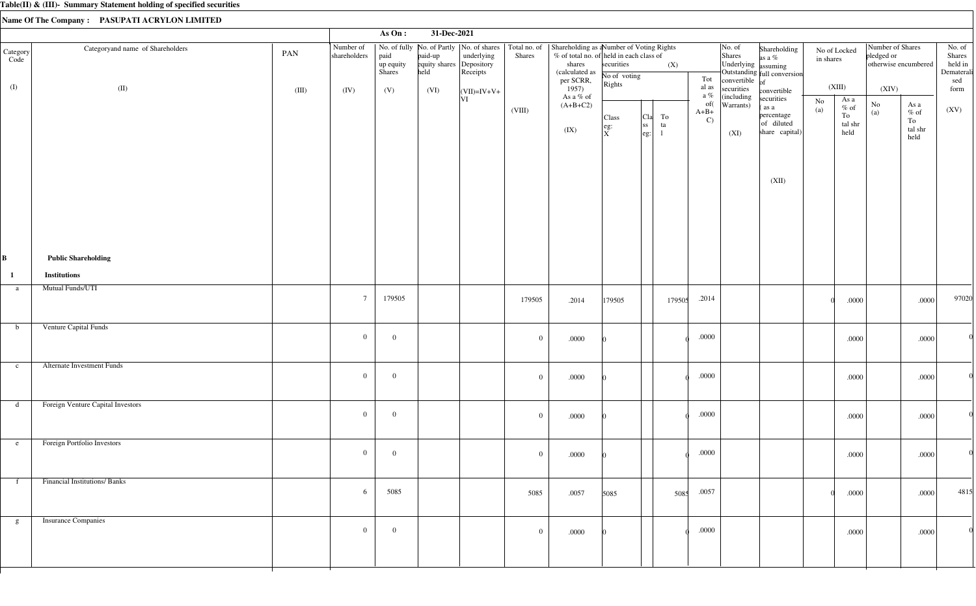|                  |                                     |       |                           | As $On:$                    | 31-Dec-2021                                 |                                                                        |                               |                                                                                                                               |                                                                       |                                                                |          |                               |                                                                        |                                                                   |                           |                                          |                                                        |                                                                       |                                                  |
|------------------|-------------------------------------|-------|---------------------------|-----------------------------|---------------------------------------------|------------------------------------------------------------------------|-------------------------------|-------------------------------------------------------------------------------------------------------------------------------|-----------------------------------------------------------------------|----------------------------------------------------------------|----------|-------------------------------|------------------------------------------------------------------------|-------------------------------------------------------------------|---------------------------|------------------------------------------|--------------------------------------------------------|-----------------------------------------------------------------------|--------------------------------------------------|
| Category<br>Code | Categoryand name of Shareholders    | PAN   | Number of<br>shareholders | paid<br>up equity<br>Shares | paid-up<br>equity shares Depository<br>held | No. of fully   No. of Partly   No. of shares<br>underlying<br>Receipts | Total no. of<br><b>Shares</b> | Shareholding as a Number of Voting Rights<br>% of total no. of held in each class of<br>shares<br>(calculated as<br>per SCRR, | securities<br>No of voting                                            |                                                                | (X)      | Tot                           | No. of<br>Shares<br>Underlying assuming<br>convertible $\overline{of}$ | Shareholding<br>as a %<br>Outstanding full conversion             | No of Locked<br>in shares |                                          | Number of Shares<br>pledged or<br>otherwise encumbered |                                                                       | No. of<br>Shares<br>held in<br>Dematerali<br>sed |
| (I)              | (II)                                | (III) | (IV)                      | (V)                         | (VI)                                        | $\vert$ (VII)=IV+V+                                                    |                               | 1957)<br>As a % of                                                                                                            | Rights                                                                |                                                                |          | al as<br>a $\%$               | securities<br>(including                                               | convertible                                                       |                           | (XIII)                                   | (XIV)                                                  |                                                                       | form                                             |
|                  |                                     |       |                           |                             |                                             | VI                                                                     | (VIII)                        | $(A+B+C2)$<br>(IX)                                                                                                            | Class<br>$\left  \begin{array}{c} \text{eg:} \ X \end{array} \right $ | <sub>C1a</sub>  <br><sub>ss</sub><br>$\left \text{eg:}\right $ | To<br>ta | of(<br>$A+B+$<br>$\mathbf{C}$ | Warrants)<br>(XI)                                                      | securities<br>(as a<br>percentage<br>of diluted<br>share capital) | No<br>(a)                 | As a<br>$\%$ of<br>To<br>tal shr<br>held | $\rm No$<br>(a)                                        | As a<br>$\%$ of<br>To<br>$\ensuremath{\text{tal}}\xspace$ shr<br>held | (XV)                                             |
|                  |                                     |       |                           |                             |                                             |                                                                        |                               |                                                                                                                               |                                                                       |                                                                |          |                               |                                                                        | (XII)                                                             |                           |                                          |                                                        |                                                                       |                                                  |
| B                | <b>Public Shareholding</b>          |       |                           |                             |                                             |                                                                        |                               |                                                                                                                               |                                                                       |                                                                |          |                               |                                                                        |                                                                   |                           |                                          |                                                        |                                                                       |                                                  |
| $\mathbf{1}$     | <b>Institutions</b>                 |       |                           |                             |                                             |                                                                        |                               |                                                                                                                               |                                                                       |                                                                |          |                               |                                                                        |                                                                   |                           |                                          |                                                        |                                                                       |                                                  |
| a                | Mutual Funds/UTI                    |       | $7\overline{ }$           | 179505                      |                                             |                                                                        | 179505                        | .2014                                                                                                                         | 179505                                                                |                                                                | 179505   | .2014                         |                                                                        |                                                                   |                           | .0000                                    |                                                        | .0000                                                                 | 97020                                            |
| $\mathbf b$      | Venture Capital Funds               |       | $\overline{0}$            | $\overline{0}$              |                                             |                                                                        | $\mathbf{0}$                  | .0000                                                                                                                         |                                                                       |                                                                |          | $.0000$                       |                                                                        |                                                                   |                           | .0000                                    |                                                        | .0000                                                                 |                                                  |
| $\mathbf{c}$     | <b>Alternate Investment Funds</b>   |       | $\overline{0}$            | $\overline{0}$              |                                             |                                                                        | $\mathbf{0}$                  | .0000                                                                                                                         |                                                                       |                                                                |          | $.0000$                       |                                                                        |                                                                   |                           | .0000                                    |                                                        | .0000                                                                 |                                                  |
| d                | Foreign Venture Capital Investors   |       | $\mathbf{0}$              | $\overline{0}$              |                                             |                                                                        | $\mathbf{0}$                  | .0000                                                                                                                         |                                                                       |                                                                |          | $.0000$                       |                                                                        |                                                                   |                           | .0000                                    |                                                        | .0000                                                                 |                                                  |
| e                | Foreign Portfolio Investors         |       | $\overline{0}$            | $\overline{0}$              |                                             |                                                                        | $\overline{0}$                | .0000                                                                                                                         |                                                                       |                                                                |          | $.0000$                       |                                                                        |                                                                   |                           | .0000                                    |                                                        | .0000                                                                 | $\Omega$                                         |
| f                | <b>Financial Institutions/Banks</b> |       | 6                         | 5085                        |                                             |                                                                        | 5085                          | .0057                                                                                                                         | 5085                                                                  |                                                                | 5085     | .0057                         |                                                                        |                                                                   |                           | .0000                                    |                                                        | .0000                                                                 | 4815                                             |
| g                | <b>Insurance Companies</b>          |       | $\overline{0}$            | $\overline{0}$              |                                             |                                                                        | $\mathbf{0}$                  | .0000                                                                                                                         |                                                                       |                                                                |          | .0000                         |                                                                        |                                                                   |                           | .0000                                    |                                                        | .0000                                                                 |                                                  |
|                  |                                     |       |                           |                             |                                             |                                                                        |                               |                                                                                                                               |                                                                       |                                                                |          |                               |                                                                        |                                                                   |                           |                                          |                                                        |                                                                       |                                                  |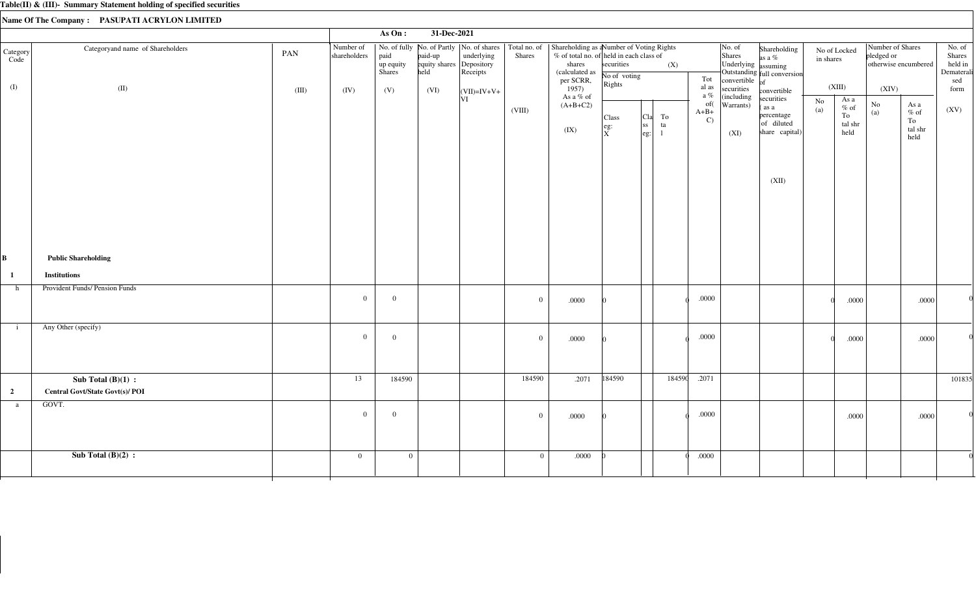|                  |                                                                |       |                           | As $On:$                                                                                                                         | 31-Dec-2021 |                                  |                  |                                                                                                                              |                                                           |                                               |        |                                                  |                                                                           |                                                                                          |                                                      |         |                                                        |                                         |                                                  |
|------------------|----------------------------------------------------------------|-------|---------------------------|----------------------------------------------------------------------------------------------------------------------------------|-------------|----------------------------------|------------------|------------------------------------------------------------------------------------------------------------------------------|-----------------------------------------------------------|-----------------------------------------------|--------|--------------------------------------------------|---------------------------------------------------------------------------|------------------------------------------------------------------------------------------|------------------------------------------------------|---------|--------------------------------------------------------|-----------------------------------------|--------------------------------------------------|
| Category<br>Code | Categoryand name of Shareholders                               | PAN   | Number of<br>shareholders | No. of fully   No. of Partly   No. of shares   Total no. of  <br>paid<br>paid-up<br>equity shares<br>up equity<br>Shares<br>held |             | underlying<br>Depository<br>Rece | Shares           | Shareholding as aNumber of Voting Rights<br>% of total no. of held in each class of<br>shares<br>(calculated as<br>per SCRR, | securities<br>No of voting                                |                                               | (X)    | Tot                                              | No. of<br>Shares<br>Underlying assuming<br>convertible $\int_{\text{of}}$ | Shareholding<br>as a %<br>Outstanding full conversion                                    | No of Locked<br>in shares                            |         | Number of Shares<br>pledged or<br>otherwise encumbered |                                         | No. of<br>Shares<br>held in<br>Dematerali<br>sed |
| (I)              | (II)                                                           | (III) | (IV)                      | (V)<br>(VI)                                                                                                                      | VI          | $ (VII)=IV+V+$                   | (VIII)           | 1957)<br>As a % of<br>$(A+B+C2)$<br>(IX)                                                                                     | Rights<br>Class<br>$\left  \right.$ eg:<br>$\overline{X}$ | To<br>Cla<br>ss <br>ta<br>eg:<br>$\mathbf{1}$ |        | al as<br>a $\%$<br>of(<br>$A+B+$<br>$\mathbf{C}$ | securities<br>(including<br>Warrants)<br>(XI)                             | convertible<br>securities<br>as a<br>percentage<br>of diluted<br>share capital)<br>(XII) | (XIII)<br>As a<br>No<br>$\%$ of<br>(a)<br>To<br>held | tal shr | (XIV)<br>No<br>(a)                                     | As a<br>$%$ of<br>To<br>tal shr<br>held | form<br>(XV)                                     |
| B                | <b>Public Shareholding</b>                                     |       |                           |                                                                                                                                  |             |                                  |                  |                                                                                                                              |                                                           |                                               |        |                                                  |                                                                           |                                                                                          |                                                      |         |                                                        |                                         |                                                  |
| $\mathbf{1}$     | <b>Institutions</b>                                            |       |                           |                                                                                                                                  |             |                                  |                  |                                                                                                                              |                                                           |                                               |        |                                                  |                                                                           |                                                                                          |                                                      |         |                                                        |                                         |                                                  |
| h                | Provident Funds/ Pension Funds                                 |       | $\overline{0}$            | $\overline{0}$                                                                                                                   |             |                                  | $\boldsymbol{0}$ | .0000                                                                                                                        |                                                           |                                               |        | .0000                                            |                                                                           |                                                                                          |                                                      | .0000   |                                                        | .0000                                   |                                                  |
| $\mathbf{i}$     | Any Other (specify)                                            |       | $\overline{0}$            | $\overline{0}$                                                                                                                   |             |                                  | $\overline{0}$   | .0000                                                                                                                        |                                                           |                                               |        | .0000                                            |                                                                           |                                                                                          |                                                      | .0000   |                                                        | .0000                                   |                                                  |
| $\overline{2}$   | Sub Total $(B)(1)$ :<br><b>Central Govt/State Govt(s)/ POI</b> |       | 13                        | 184590                                                                                                                           |             |                                  | 184590           | .2071                                                                                                                        | 184590                                                    |                                               | 184590 | .2071                                            |                                                                           |                                                                                          |                                                      |         |                                                        |                                         | 101835                                           |
| a                | GOVT.                                                          |       | $\overline{0}$            | $\overline{0}$                                                                                                                   |             |                                  | $\overline{0}$   | .0000                                                                                                                        |                                                           |                                               |        | .0000                                            |                                                                           |                                                                                          |                                                      | .0000   |                                                        | .0000                                   |                                                  |
|                  | Sub Total $(B)(2)$ :                                           |       | $\overline{0}$            | $\overline{0}$                                                                                                                   |             |                                  | $\overline{0}$   | .0000                                                                                                                        |                                                           |                                               |        | .0000                                            |                                                                           |                                                                                          |                                                      |         |                                                        |                                         |                                                  |
|                  |                                                                |       |                           |                                                                                                                                  |             |                                  |                  |                                                                                                                              |                                                           |                                               |        |                                                  |                                                                           |                                                                                          |                                                      |         |                                                        |                                         |                                                  |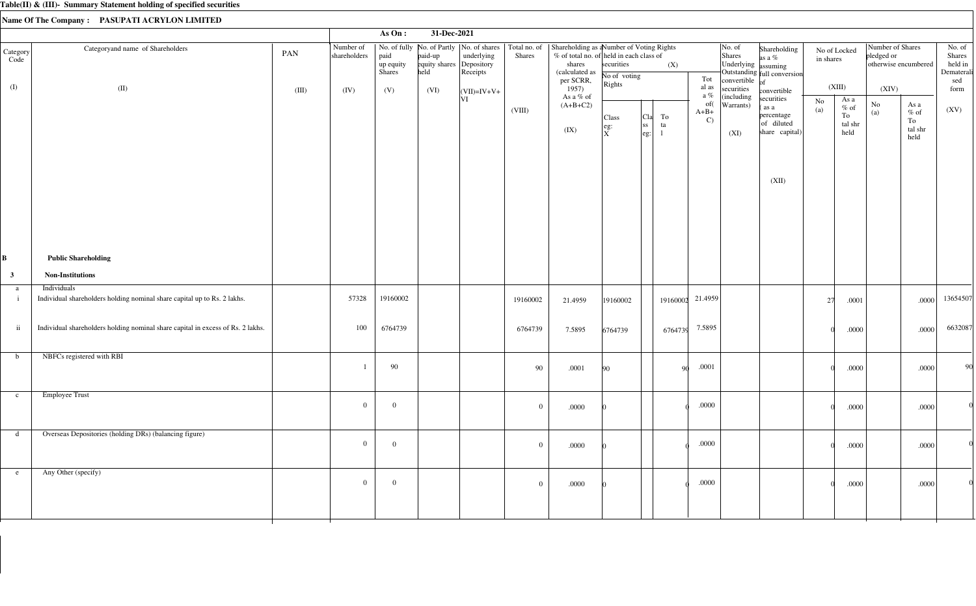|                         |                                                                                         |              |                                   | As On:                             | 31-Dec-2021                              |                                                                                                        |                               |                                                                                                                                        |                                      |                                                              |          |                               |                                                                           |                                                                            |           |                                          |                                                                 |                                                                       |                                                          |
|-------------------------|-----------------------------------------------------------------------------------------|--------------|-----------------------------------|------------------------------------|------------------------------------------|--------------------------------------------------------------------------------------------------------|-------------------------------|----------------------------------------------------------------------------------------------------------------------------------------|--------------------------------------|--------------------------------------------------------------|----------|-------------------------------|---------------------------------------------------------------------------|----------------------------------------------------------------------------|-----------|------------------------------------------|-----------------------------------------------------------------|-----------------------------------------------------------------------|----------------------------------------------------------|
| Category<br>Code<br>(I) | Categoryand name of Shareholders<br>(II)                                                | PAN<br>(III) | Number of<br>shareholders<br>(IV) | paid<br>up equity<br>Shares<br>(V) | paid-up<br>equity shares<br>held<br>(VI) | No. of fully   No. of Partly   No. of shares<br>underlying<br>Depository<br>Receipts<br>$ (VII)=IV+V+$ | Total no. of<br><b>Shares</b> | Shareholding as a Number of Voting Rights<br>% of total no. of held in each class of<br>shares<br>(calculated as<br>per SCRR,<br>1957) | securities<br>No of voting<br>Rights |                                                              | (X)      | Tot<br>al as<br>a $\%$        | No. of<br>Shares<br>Underlying assuming<br>convertible $of$<br>securities | Shareholding<br>as a %<br>Outstanding full conversion<br>convertible       | in shares | No of Locked<br>(XIII)                   | Number of Shares<br>pledged or<br>otherwise encumbered<br>(XIV) |                                                                       | No. of<br>Shares<br>held in<br>Dematerali<br>sed<br>form |
|                         |                                                                                         |              |                                   |                                    |                                          | VI                                                                                                     | (VIII)                        | As a % of<br>$(A+B+C2)$<br>(IX)                                                                                                        | Class<br>$\left  \right.$ eg:<br>ΙxΞ | ${\rm To}$<br>Cla<br>ss <br>ta<br>$\left  \text{eg:}\right.$ |          | of(<br>$A+B+$<br>$\mathbf{C}$ | (including<br>Warrants)<br>(XI)                                           | securities<br>(as a<br>percentage<br>of diluted<br>share capital)<br>(XII) | No<br>(a) | As a<br>$\%$ of<br>To<br>tal shr<br>held | $\rm No$<br>(a)                                                 | As a<br>$\%$ of<br>To<br>$\ensuremath{\text{tal}}\xspace$ shr<br>held | (XV)                                                     |
| В                       | <b>Public Shareholding</b>                                                              |              |                                   |                                    |                                          |                                                                                                        |                               |                                                                                                                                        |                                      |                                                              |          |                               |                                                                           |                                                                            |           |                                          |                                                                 |                                                                       |                                                          |
| $\mathbf{3}$            | <b>Non-Institutions</b>                                                                 |              |                                   |                                    |                                          |                                                                                                        |                               |                                                                                                                                        |                                      |                                                              |          |                               |                                                                           |                                                                            |           |                                          |                                                                 |                                                                       |                                                          |
| a<br>$\mathbf{i}$       | Individuals<br>Individual shareholders holding nominal share capital up to Rs. 2 lakhs. |              | 57328                             | 19160002                           |                                          |                                                                                                        | 19160002                      | 21.4959                                                                                                                                | 19160002                             |                                                              | 19160002 | 21.4959                       |                                                                           |                                                                            | 27        | .0001                                    |                                                                 | .0000                                                                 | 13654507                                                 |
| $\,$ ii                 | Individual shareholders holding nominal share capital in excess of Rs. 2 lakhs.         |              | 100                               | 6764739                            |                                          |                                                                                                        | 6764739                       | 7.5895                                                                                                                                 | 6764739                              |                                                              | 6764739  | 7.5895                        |                                                                           |                                                                            |           | .0000                                    |                                                                 | .0000                                                                 | 6632087                                                  |
| b                       | NBFCs registered with RBI                                                               |              |                                   | 90                                 |                                          |                                                                                                        | 90                            | .0001                                                                                                                                  | 90                                   |                                                              | -90      | .0001                         |                                                                           |                                                                            |           | .0000                                    |                                                                 | .0000                                                                 | 90                                                       |
| $\mathbf{c}$            | <b>Employee Trust</b>                                                                   |              | $\overline{0}$                    | $\overline{0}$                     |                                          |                                                                                                        | $\overline{0}$                | .0000                                                                                                                                  |                                      |                                                              |          | .0000                         |                                                                           |                                                                            |           | .0000                                    |                                                                 | .0000                                                                 |                                                          |
|                         | d Overseas Depositories (holding DRs) (balancing figure)                                |              | $\overline{0}$                    | $\mathbf{0}$                       |                                          |                                                                                                        | $\overline{0}$                | .0000                                                                                                                                  |                                      |                                                              |          | $.0000\,$                     |                                                                           |                                                                            |           | .0000                                    |                                                                 | .0000                                                                 |                                                          |
| e                       | Any Other (specify)                                                                     |              | $\overline{0}$                    | $\mathbf{0}$                       |                                          |                                                                                                        | $\overline{0}$                | .0000                                                                                                                                  |                                      |                                                              |          | .0000                         |                                                                           |                                                                            |           | .0000                                    |                                                                 | .0000                                                                 |                                                          |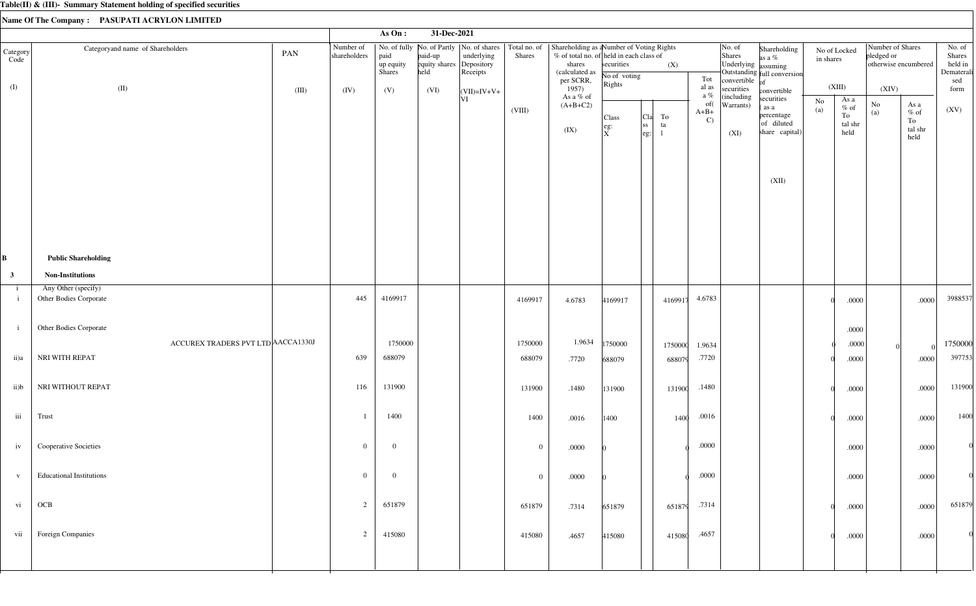|                              |                                               |                                  |                | As On:                      | 31-Dec-2021                      |                                      |                |                                                                                                                                                                                             |                            |                                                                                  |                               |                                                                        |                                                                   |                           |                                                  |                                                        |                                                                       |                                                  |
|------------------------------|-----------------------------------------------|----------------------------------|----------------|-----------------------------|----------------------------------|--------------------------------------|----------------|---------------------------------------------------------------------------------------------------------------------------------------------------------------------------------------------|----------------------------|----------------------------------------------------------------------------------|-------------------------------|------------------------------------------------------------------------|-------------------------------------------------------------------|---------------------------|--------------------------------------------------|--------------------------------------------------------|-----------------------------------------------------------------------|--------------------------------------------------|
| Category<br>Code             | Categoryand name of Shareholders              | Number of<br>PAN<br>shareholders |                | paid<br>up equity<br>Shares | paid-up<br>equity shares<br>held | underlying<br>Depository<br>Receipts | Shares         | No. of fully   No. of Partly   No. of shares   Total no. of   Shareholding as a Number of Voting Rights<br>% of total no. of held in each class of<br>shares<br>(calculated as<br>per SCRR, | securities<br>No of voting | (X)                                                                              | Tot                           | No. of<br>Shares<br>Underlying assuming<br>convertible $\overline{of}$ | Shareholding<br>as a %<br>Outstanding full conversion             | No of Locked<br>in shares |                                                  | Number of Shares<br>pledged or<br>otherwise encumbered |                                                                       | No. of<br>Shares<br>held in<br>Dematerali<br>sed |
| (I)                          | (II)                                          | (IV)<br>(III)                    |                | (V)                         | (VI)                             | $ (VII)=IV+V+$                       |                | 1957)<br>As a % of                                                                                                                                                                          | Rights                     |                                                                                  | al as<br>a $\%$               | securities<br>(including                                               | convertible                                                       |                           | (XIII)                                           | (XIV)                                                  |                                                                       | form                                             |
|                              |                                               |                                  |                |                             |                                  | VI                                   | (VIII)         | $(A+B+C2)$<br>(IX)                                                                                                                                                                          | Class<br>eg:<br>Ιx.        | <sub>C1a</sub>  <br>To<br>ss <br>ta<br>$\left \text{eg:}\right $<br>$\mathbf{1}$ | of(<br>$A+B+$<br>$\mathbf{C}$ | Warrants)<br>(XI)                                                      | securities<br>(as a<br>percentage<br>of diluted<br>share capital) | No<br>(a)                 | As a<br>$\%$ of<br>${\rm To}$<br>tal shr<br>held | $\rm No$<br>(a)                                        | As a<br>$\%$ of<br>To<br>$\ensuremath{\text{tal}}\xspace$ shr<br>held | (XV)                                             |
|                              |                                               |                                  |                |                             |                                  |                                      |                |                                                                                                                                                                                             |                            |                                                                                  |                               |                                                                        | (XII)                                                             |                           |                                                  |                                                        |                                                                       |                                                  |
| R                            | <b>Public Shareholding</b>                    |                                  |                |                             |                                  |                                      |                |                                                                                                                                                                                             |                            |                                                                                  |                               |                                                                        |                                                                   |                           |                                                  |                                                        |                                                                       |                                                  |
| $\mathbf{3}$                 | <b>Non-Institutions</b>                       |                                  |                |                             |                                  |                                      |                |                                                                                                                                                                                             |                            |                                                                                  |                               |                                                                        |                                                                   |                           |                                                  |                                                        |                                                                       |                                                  |
| $\mathbf{i}$<br>$\mathbf{i}$ | Any Other (specify)<br>Other Bodies Corporate |                                  | 445            | 4169917                     |                                  |                                      | 4169917        | 4.6783                                                                                                                                                                                      | 4169917                    | 4169917                                                                          | 4.6783                        |                                                                        |                                                                   |                           | .0000                                            |                                                        | .0000                                                                 | 3988537                                          |
| $\mathbf{i}$                 | Other Bodies Corporate                        |                                  |                |                             |                                  |                                      |                |                                                                                                                                                                                             |                            |                                                                                  |                               |                                                                        |                                                                   |                           | .0000                                            |                                                        |                                                                       |                                                  |
|                              | ACCUREX TRADERS PVT LTD ACCA1330J             |                                  |                | 1750000                     |                                  |                                      | 1750000        | 1.9634                                                                                                                                                                                      | 1750000                    | 1750000                                                                          | 1.9634                        |                                                                        |                                                                   |                           | $.0000$                                          |                                                        |                                                                       | 1750000                                          |
| ii)a                         | NRI WITH REPAT                                |                                  | 639            | 688079                      |                                  |                                      | 688079         | .7720                                                                                                                                                                                       | 688079                     | 688079                                                                           | .7720                         |                                                                        |                                                                   |                           | .0000                                            |                                                        | .0000                                                                 | 397753                                           |
| ii)b                         | NRI WITHOUT REPAT                             |                                  | 116            | 131900                      |                                  |                                      | 131900         | .1480                                                                                                                                                                                       | 131900                     | 131900                                                                           | .1480                         |                                                                        |                                                                   |                           | .0000                                            |                                                        | .0000                                                                 | 131900                                           |
| iii                          | Trust                                         |                                  |                | 1400                        |                                  |                                      | 1400           | .0016                                                                                                                                                                                       | 1400                       | 1400                                                                             | .0016                         |                                                                        |                                                                   |                           | .0000                                            |                                                        | .0000                                                                 | 1400                                             |
| iv                           | Cooperative Societies                         |                                  | $\overline{0}$ | $\overline{0}$              |                                  |                                      | $\overline{0}$ | $.0000\,$                                                                                                                                                                                   |                            |                                                                                  | .0000                         |                                                                        |                                                                   |                           | .0000                                            |                                                        | .0000                                                                 |                                                  |
| V                            | <b>Educational Institutions</b>               |                                  | $\overline{0}$ | $\overline{0}$              |                                  |                                      | $\overline{0}$ | $.0000\,$                                                                                                                                                                                   |                            |                                                                                  | .0000                         |                                                                        |                                                                   |                           | .0000                                            |                                                        | .0000                                                                 |                                                  |
| vi                           | OCB                                           |                                  | $\overline{2}$ | 651879                      |                                  |                                      | 651879         | .7314                                                                                                                                                                                       | 651879                     | 651879                                                                           | .7314                         |                                                                        |                                                                   |                           | .0000                                            |                                                        | .0000                                                                 | 651879                                           |
| vii                          | Foreign Companies                             |                                  | $\overline{2}$ | 415080                      |                                  |                                      | 415080         | .4657                                                                                                                                                                                       | 415080                     | 415080                                                                           | .4657                         |                                                                        |                                                                   |                           | .0000                                            |                                                        | .0000                                                                 |                                                  |
|                              |                                               |                                  |                |                             |                                  |                                      |                |                                                                                                                                                                                             |                            |                                                                                  |                               |                                                                        |                                                                   |                           |                                                  |                                                        |                                                                       |                                                  |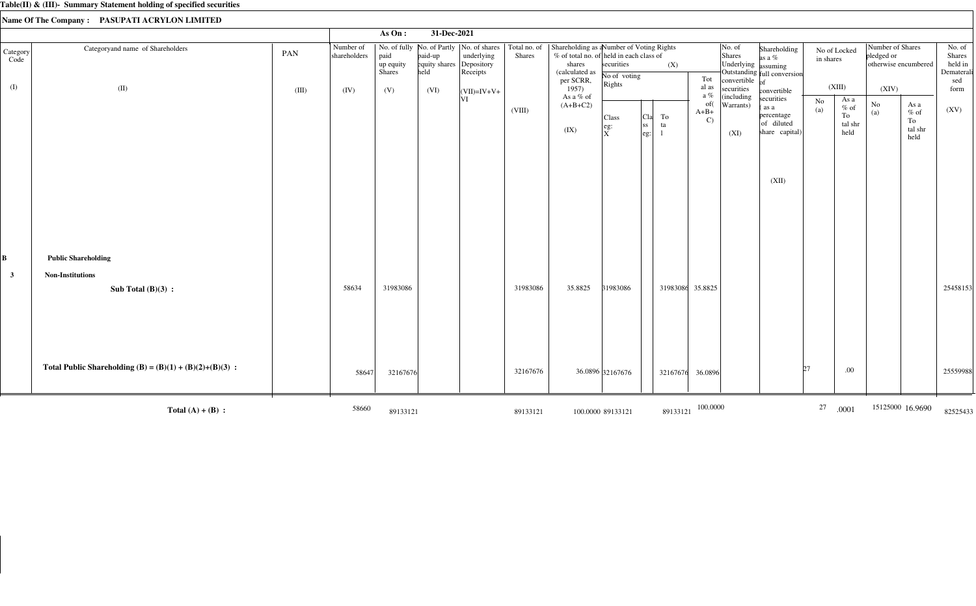|                   |                                                            |       |                           | As On:                      | 31-Dec-2021                      |                                                                                   |                               |                                                                                                                              |                            |                                               |                                |                                                                |                                                                  |           |                                          |                                                        |                                                                       |                                                  |
|-------------------|------------------------------------------------------------|-------|---------------------------|-----------------------------|----------------------------------|-----------------------------------------------------------------------------------|-------------------------------|------------------------------------------------------------------------------------------------------------------------------|----------------------------|-----------------------------------------------|--------------------------------|----------------------------------------------------------------|------------------------------------------------------------------|-----------|------------------------------------------|--------------------------------------------------------|-----------------------------------------------------------------------|--------------------------------------------------|
| Category<br>Code  | Categoryand name of Shareholders                           | PAN   | Number of<br>shareholders | paid<br>up equity<br>Shares | paid-up<br>equity shares<br>held | No. of fully No. of Partly  No. of shares<br>underlying<br>Depository<br>Receipts | Total no. of<br><b>Shares</b> | Shareholding as aNumber of Voting Rights<br>% of total no. of held in each class of<br>shares<br>(calculated as<br>per SCRR, | securities<br>No of voting | (X)                                           | Tot                            | $\vert$ No. of<br>Shares<br>Underlying assuming<br>convertible | Shareholding<br>as a $%$<br>Outstanding full conversion          | in shares | No of Locked                             | Number of Shares<br>pledged or<br>otherwise encumbered |                                                                       | No. of<br>Shares<br>held in<br>Dematerali<br>sed |
| (I)               | (II)                                                       | (III) | (IV)                      | (V)                         | (VI)                             | $\vert$ (VII)=IV+V+                                                               |                               | 1957)                                                                                                                        | Rights                     |                                               | al as<br>a $\%$                | securities                                                     | convertible                                                      |           | (XIII)                                   | (XIV)                                                  |                                                                       | form                                             |
|                   |                                                            |       |                           |                             |                                  | VI                                                                                | (VIII)                        | As a % of<br>$(A+B+C2)$<br>(IX)                                                                                              | Class<br>eg:<br>ΙxΞ        | To<br>  <sub>C1a</sub>  <br>ta<br> SS<br> eg: | of(<br>$A+B+$<br>$\mathcal{C}$ | (including<br>Warrants)<br>(XI)                                | securities<br>as a<br>percentage<br>of diluted<br>share capital) | No<br>(a) | As a<br>$\%$ of<br>To<br>tal shr<br>held | No<br>(a)                                              | As a<br>$\%$ of<br>To<br>$\ensuremath{\text{tal}}\xspace$ shr<br>held | (XV)                                             |
|                   |                                                            |       |                           |                             |                                  |                                                                                   |                               |                                                                                                                              |                            |                                               |                                |                                                                | (XII)                                                            |           |                                          |                                                        |                                                                       |                                                  |
| B<br>$\mathbf{3}$ | <b>Public Shareholding</b><br><b>Non-Institutions</b>      |       |                           |                             |                                  |                                                                                   |                               |                                                                                                                              |                            |                                               |                                |                                                                |                                                                  |           |                                          |                                                        |                                                                       |                                                  |
|                   | Sub Total $(B)(3)$ :                                       |       | 58634                     | 31983086                    |                                  |                                                                                   | 31983086                      | 35.8825                                                                                                                      | 31983086                   | 31983086 35.8825                              |                                |                                                                |                                                                  |           |                                          |                                                        |                                                                       | 25458153                                         |
|                   | Total Public Shareholding (B) = $(B)(1) + (B)(2)+(B)(3)$ : |       | 58647                     | 32167676                    |                                  |                                                                                   | 32167676                      |                                                                                                                              | 36.0896 32167676           | 32167676                                      | 36.0896                        |                                                                |                                                                  | b7.       | .00                                      |                                                        |                                                                       | 25559988                                         |
|                   | Total $(A) + (B)$ :                                        |       | 58660                     | 89133121                    |                                  |                                                                                   | 89133121                      |                                                                                                                              | 100.0000 89133121          | 89133121                                      | 100.0000                       |                                                                |                                                                  | 27        | .0001                                    |                                                        | 15125000 16.9690                                                      | 82525433                                         |